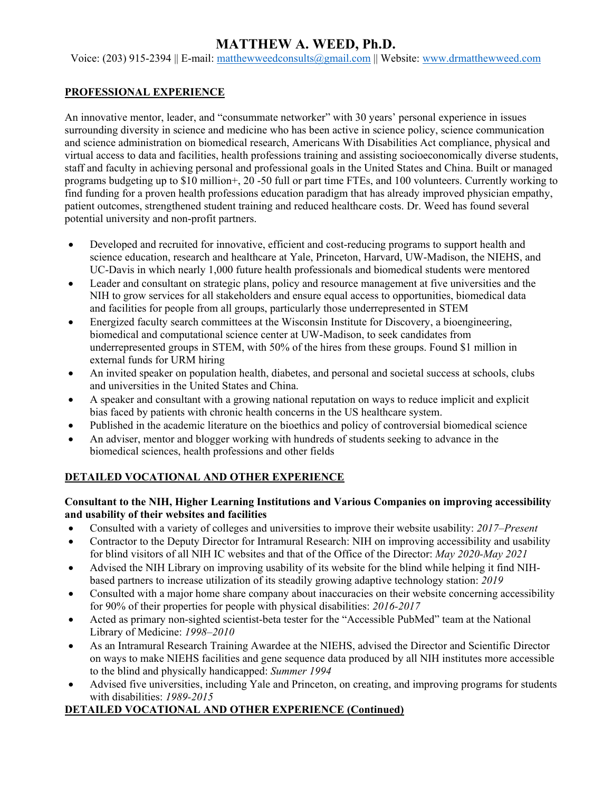# **MATTHEW A. WEED, Ph.D.**

Voice: (203) 915-2394 || E-mail: [matthewweedconsults@gmail.com](mailto:matthewweedconsults@gmail.com) || Website: [www.drmatthewweed.com](http://www.drmatthewweed.com/)

#### **PROFESSIONAL EXPERIENCE**

An innovative mentor, leader, and "consummate networker" with 30 years' personal experience in issues surrounding diversity in science and medicine who has been active in science policy, science communication and science administration on biomedical research, Americans With Disabilities Act compliance, physical and virtual access to data and facilities, health professions training and assisting socioeconomically diverse students, staff and faculty in achieving personal and professional goals in the United States and China. Built or managed programs budgeting up to \$10 million+, 20 -50 full or part time FTEs, and 100 volunteers. Currently working to find funding for a proven health professions education paradigm that has already improved physician empathy, patient outcomes, strengthened student training and reduced healthcare costs. Dr. Weed has found several potential university and non-profit partners.

- Developed and recruited for innovative, efficient and cost-reducing programs to support health and science education, research and healthcare at Yale, Princeton, Harvard, UW-Madison, the NIEHS, and UC-Davis in which nearly 1,000 future health professionals and biomedical students were mentored
- Leader and consultant on strategic plans, policy and resource management at five universities and the NIH to grow services for all stakeholders and ensure equal access to opportunities, biomedical data and facilities for people from all groups, particularly those underrepresented in STEM
- Energized faculty search committees at the Wisconsin Institute for Discovery, a bioengineering, biomedical and computational science center at UW-Madison, to seek candidates from underrepresented groups in STEM, with 50% of the hires from these groups. Found \$1 million in external funds for URM hiring
- An invited speaker on population health, diabetes, and personal and societal success at schools, clubs and universities in the United States and China.
- A speaker and consultant with a growing national reputation on ways to reduce implicit and explicit bias faced by patients with chronic health concerns in the US healthcare system.
- Published in the academic literature on the bioethics and policy of controversial biomedical science
- An adviser, mentor and blogger working with hundreds of students seeking to advance in the biomedical sciences, health professions and other fields

# **DETAILED VOCATIONAL AND OTHER EXPERIENCE**

#### **Consultant to the NIH, Higher Learning Institutions and Various Companies on improving accessibility and usability of their websites and facilities**

- Consulted with a variety of colleges and universities to improve their website usability: *2017–Present*
- Contractor to the Deputy Director for Intramural Research: NIH on improving accessibility and usability for blind visitors of all NIH IC websites and that of the Office of the Director: *May 2020-May 2021*
- Advised the NIH Library on improving usability of its website for the blind while helping it find NIHbased partners to increase utilization of its steadily growing adaptive technology station: *2019*
- Consulted with a major home share company about inaccuracies on their website concerning accessibility for 90% of their properties for people with physical disabilities: *2016-2017*
- Acted as primary non-sighted scientist-beta tester for the "Accessible PubMed" team at the National Library of Medicine: *1998–2010*
- As an Intramural Research Training Awardee at the NIEHS, advised the Director and Scientific Director on ways to make NIEHS facilities and gene sequence data produced by all NIH institutes more accessible to the blind and physically handicapped: *Summer 1994*
- Advised five universities, including Yale and Princeton, on creating, and improving programs for students with disabilities: *1989-2015*

# **DETAILED VOCATIONAL AND OTHER EXPERIENCE (Continued)**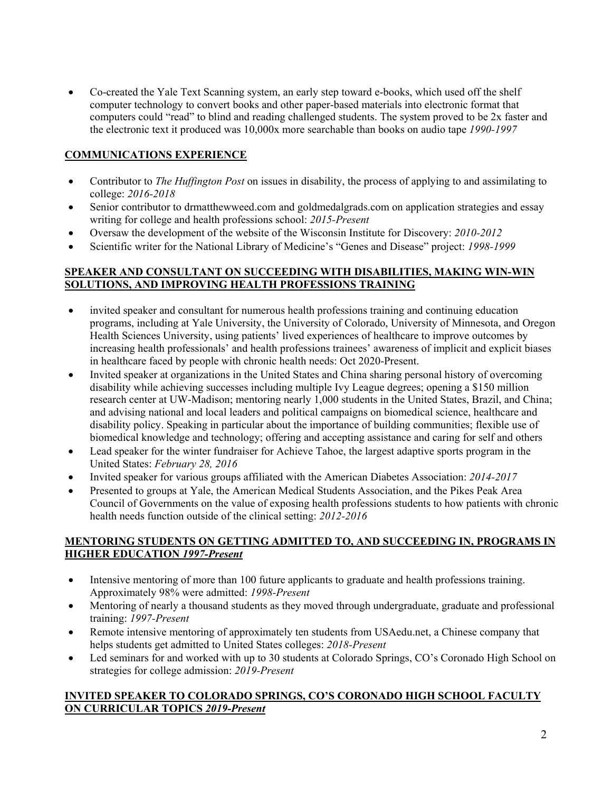• Co-created the Yale Text Scanning system, an early step toward e-books, which used off the shelf computer technology to convert books and other paper-based materials into electronic format that computers could "read" to blind and reading challenged students. The system proved to be 2x faster and the electronic text it produced was 10,000x more searchable than books on audio tape *1990-1997*

# **COMMUNICATIONS EXPERIENCE**

- Contributor to *The Huffington Post* on issues in disability, the process of applying to and assimilating to college: *2016-2018*
- Senior contributor to drmatthewweed.com and goldmedalgrads.com on application strategies and essay writing for college and health professions school: *2015-Present*
- Oversaw the development of the website of the Wisconsin Institute for Discovery: *2010-2012*
- Scientific writer for the National Library of Medicine's "Genes and Disease" project: *1998-1999*

### **SPEAKER AND CONSULTANT ON SUCCEEDING WITH DISABILITIES, MAKING WIN-WIN SOLUTIONS, AND IMPROVING HEALTH PROFESSIONS TRAINING**

- invited speaker and consultant for numerous health professions training and continuing education programs, including at Yale University, the University of Colorado, University of Minnesota, and Oregon Health Sciences University, using patients' lived experiences of healthcare to improve outcomes by increasing health professionals' and health professions trainees' awareness of implicit and explicit biases in healthcare faced by people with chronic health needs: Oct 2020-Present.
- Invited speaker at organizations in the United States and China sharing personal history of overcoming disability while achieving successes including multiple Ivy League degrees; opening a \$150 million research center at UW-Madison; mentoring nearly 1,000 students in the United States, Brazil, and China; and advising national and local leaders and political campaigns on biomedical science, healthcare and disability policy. Speaking in particular about the importance of building communities; flexible use of biomedical knowledge and technology; offering and accepting assistance and caring for self and others
- Lead speaker for the winter fundraiser for Achieve Tahoe, the largest adaptive sports program in the United States: *February 28, 2016*
- Invited speaker for various groups affiliated with the American Diabetes Association: *2014-2017*
- Presented to groups at Yale, the American Medical Students Association, and the Pikes Peak Area Council of Governments on the value of exposing health professions students to how patients with chronic health needs function outside of the clinical setting: *2012-2016*

#### **MENTORING STUDENTS ON GETTING ADMITTED TO, AND SUCCEEDING IN, PROGRAMS IN HIGHER EDUCATION** *1997-Present*

- Intensive mentoring of more than 100 future applicants to graduate and health professions training. Approximately 98% were admitted: *1998-Present*
- Mentoring of nearly a thousand students as they moved through undergraduate, graduate and professional training: *1997-Present*
- Remote intensive mentoring of approximately ten students from USAedu.net, a Chinese company that helps students get admitted to United States colleges: *2018-Present*
- Led seminars for and worked with up to 30 students at Colorado Springs, CO's Coronado High School on strategies for college admission: *2019-Present*

### **INVITED SPEAKER TO COLORADO SPRINGS, CO'S CORONADO HIGH SCHOOL FACULTY ON CURRICULAR TOPICS** *2019-Present*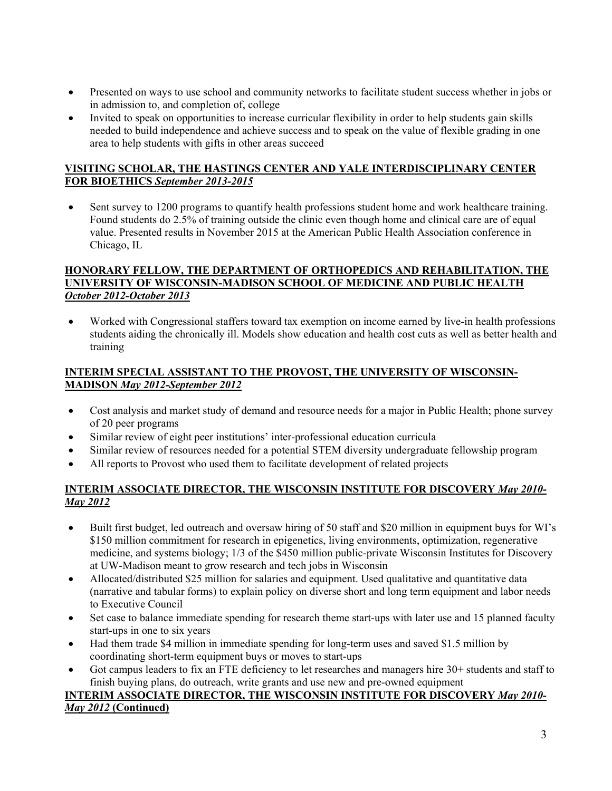- Presented on ways to use school and community networks to facilitate student success whether in jobs or in admission to, and completion of, college
- Invited to speak on opportunities to increase curricular flexibility in order to help students gain skills needed to build independence and achieve success and to speak on the value of flexible grading in one area to help students with gifts in other areas succeed

#### **VISITING SCHOLAR, THE HASTINGS CENTER AND YALE INTERDISCIPLINARY CENTER FOR BIOETHICS** *September 2013-2015*

• Sent survey to 1200 programs to quantify health professions student home and work healthcare training. Found students do 2.5% of training outside the clinic even though home and clinical care are of equal value. Presented results in November 2015 at the American Public Health Association conference in Chicago, IL

#### **HONORARY FELLOW, THE DEPARTMENT OF ORTHOPEDICS AND REHABILITATION, THE UNIVERSITY OF WISCONSIN-MADISON SCHOOL OF MEDICINE AND PUBLIC HEALTH** *October 2012-October 2013*

• Worked with Congressional staffers toward tax exemption on income earned by live-in health professions students aiding the chronically ill. Models show education and health cost cuts as well as better health and training

### **INTERIM SPECIAL ASSISTANT TO THE PROVOST, THE UNIVERSITY OF WISCONSIN-MADISON** *May 2012-September 2012*

- Cost analysis and market study of demand and resource needs for a major in Public Health; phone survey of 20 peer programs
- Similar review of eight peer institutions' inter-professional education curricula
- Similar review of resources needed for a potential STEM diversity undergraduate fellowship program
- All reports to Provost who used them to facilitate development of related projects

### **INTERIM ASSOCIATE DIRECTOR, THE WISCONSIN INSTITUTE FOR DISCOVERY** *May 2010- May 2012*

- Built first budget, led outreach and oversaw hiring of 50 staff and \$20 million in equipment buys for WI's \$150 million commitment for research in epigenetics, living environments, optimization, regenerative medicine, and systems biology; 1/3 of the \$450 million public-private Wisconsin Institutes for Discovery at UW-Madison meant to grow research and tech jobs in Wisconsin
- Allocated/distributed \$25 million for salaries and equipment. Used qualitative and quantitative data (narrative and tabular forms) to explain policy on diverse short and long term equipment and labor needs to Executive Council
- Set case to balance immediate spending for research theme start-ups with later use and 15 planned faculty start-ups in one to six years
- Had them trade \$4 million in immediate spending for long-term uses and saved \$1.5 million by coordinating short-term equipment buys or moves to start-ups
- Got campus leaders to fix an FTE deficiency to let researches and managers hire 30+ students and staff to finish buying plans, do outreach, write grants and use new and pre-owned equipment

#### **INTERIM ASSOCIATE DIRECTOR, THE WISCONSIN INSTITUTE FOR DISCOVERY** *May 2010- May 2012* **(Continued)**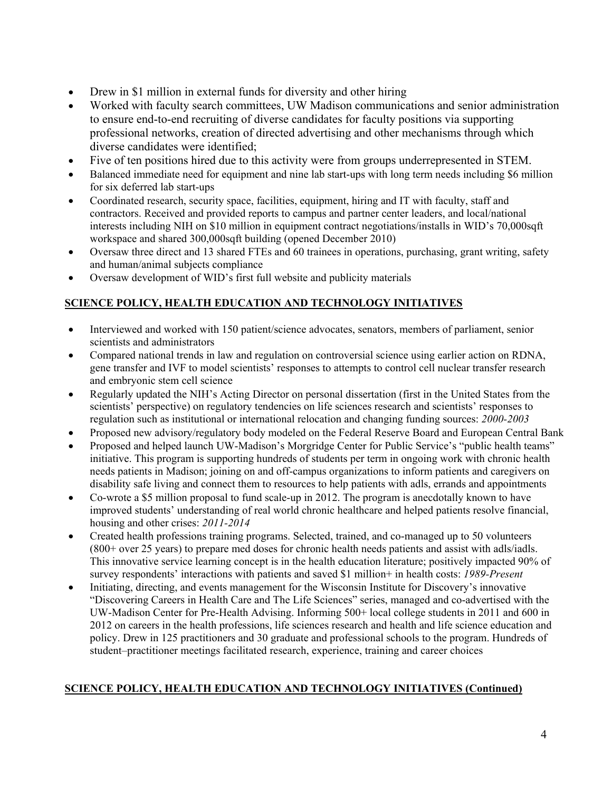- Drew in \$1 million in external funds for diversity and other hiring
- Worked with faculty search committees, UW Madison communications and senior administration to ensure end-to-end recruiting of diverse candidates for faculty positions via supporting professional networks, creation of directed advertising and other mechanisms through which diverse candidates were identified;
- Five of ten positions hired due to this activity were from groups underrepresented in STEM.
- Balanced immediate need for equipment and nine lab start-ups with long term needs including \$6 million for six deferred lab start-ups
- Coordinated research, security space, facilities, equipment, hiring and IT with faculty, staff and contractors. Received and provided reports to campus and partner center leaders, and local/national interests including NIH on \$10 million in equipment contract negotiations/installs in WID's 70,000sqft workspace and shared 300,000sqft building (opened December 2010)
- Oversaw three direct and 13 shared FTEs and 60 trainees in operations, purchasing, grant writing, safety and human/animal subjects compliance
- Oversaw development of WID's first full website and publicity materials

# **SCIENCE POLICY, HEALTH EDUCATION AND TECHNOLOGY INITIATIVES**

- Interviewed and worked with 150 patient/science advocates, senators, members of parliament, senior scientists and administrators
- Compared national trends in law and regulation on controversial science using earlier action on RDNA, gene transfer and IVF to model scientists' responses to attempts to control cell nuclear transfer research and embryonic stem cell science
- Regularly updated the NIH's Acting Director on personal dissertation (first in the United States from the scientists' perspective) on regulatory tendencies on life sciences research and scientists' responses to regulation such as institutional or international relocation and changing funding sources: *2000-2003*
- Proposed new advisory/regulatory body modeled on the Federal Reserve Board and European Central Bank
- Proposed and helped launch UW-Madison's Morgridge Center for Public Service's "public health teams" initiative. This program is supporting hundreds of students per term in ongoing work with chronic health needs patients in Madison; joining on and off-campus organizations to inform patients and caregivers on disability safe living and connect them to resources to help patients with adls, errands and appointments
- Co-wrote a \$5 million proposal to fund scale-up in 2012. The program is anecdotally known to have improved students' understanding of real world chronic healthcare and helped patients resolve financial, housing and other crises: *2011-2014*
- Created health professions training programs. Selected, trained, and co-managed up to 50 volunteers (800+ over 25 years) to prepare med doses for chronic health needs patients and assist with adls/iadls. This innovative service learning concept is in the health education literature; positively impacted 90% of survey respondents' interactions with patients and saved \$1 million+ in health costs: *1989-Present*
- Initiating, directing, and events management for the Wisconsin Institute for Discovery's innovative "Discovering Careers in Health Care and The Life Sciences" series, managed and co-advertised with the UW-Madison Center for Pre-Health Advising. Informing 500+ local college students in 2011 and 600 in 2012 on careers in the health professions, life sciences research and health and life science education and policy. Drew in 125 practitioners and 30 graduate and professional schools to the program. Hundreds of student–practitioner meetings facilitated research, experience, training and career choices

# **SCIENCE POLICY, HEALTH EDUCATION AND TECHNOLOGY INITIATIVES (Continued)**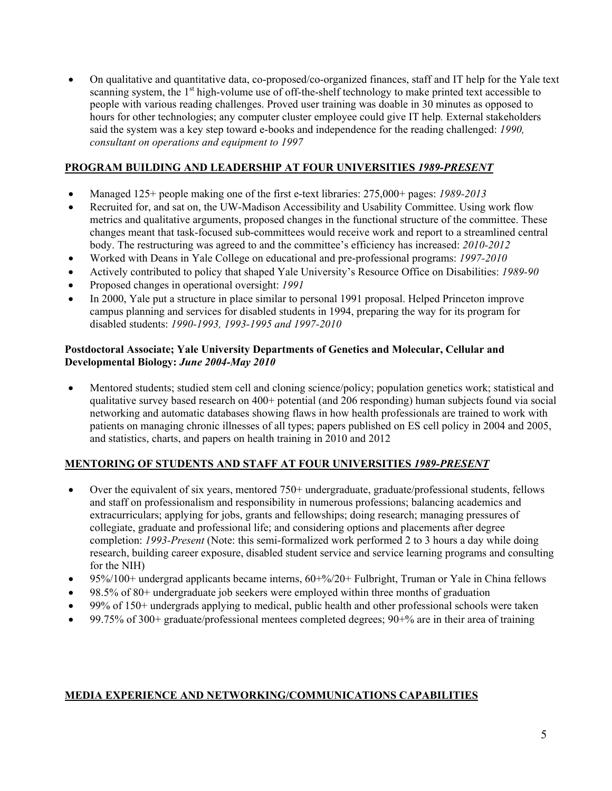• On qualitative and quantitative data, co-proposed/co-organized finances, staff and IT help for the Yale text scanning system, the  $1<sup>st</sup>$  high-volume use of off-the-shelf technology to make printed text accessible to people with various reading challenges. Proved user training was doable in 30 minutes as opposed to hours for other technologies; any computer cluster employee could give IT help*.* External stakeholders said the system was a key step toward e-books and independence for the reading challenged: *1990, consultant on operations and equipment to 1997*

# **PROGRAM BUILDING AND LEADERSHIP AT FOUR UNIVERSITIES** *1989-PRESENT*

- Managed 125+ people making one of the first e-text libraries: 275,000+ pages: *1989-2013*
- Recruited for, and sat on, the UW-Madison Accessibility and Usability Committee. Using work flow metrics and qualitative arguments, proposed changes in the functional structure of the committee. These changes meant that task-focused sub-committees would receive work and report to a streamlined central body. The restructuring was agreed to and the committee's efficiency has increased: *2010-2012*
- Worked with Deans in Yale College on educational and pre-professional programs: *1997-2010*
- Actively contributed to policy that shaped Yale University's Resource Office on Disabilities: *1989-90*
- Proposed changes in operational oversight: *1991*
- In 2000, Yale put a structure in place similar to personal 1991 proposal. Helped Princeton improve campus planning and services for disabled students in 1994, preparing the way for its program for disabled students: *1990-1993, 1993-1995 and 1997-2010*

#### **Postdoctoral Associate; Yale University Departments of Genetics and Molecular, Cellular and Developmental Biology:** *June 2004-May 2010*

• Mentored students; studied stem cell and cloning science/policy; population genetics work; statistical and qualitative survey based research on 400+ potential (and 206 responding) human subjects found via social networking and automatic databases showing flaws in how health professionals are trained to work with patients on managing chronic illnesses of all types; papers published on ES cell policy in 2004 and 2005, and statistics, charts, and papers on health training in 2010 and 2012

#### **MENTORING OF STUDENTS AND STAFF AT FOUR UNIVERSITIES** *1989-PRESENT*

- Over the equivalent of six years, mentored 750+ undergraduate, graduate/professional students, fellows and staff on professionalism and responsibility in numerous professions; balancing academics and extracurriculars; applying for jobs, grants and fellowships; doing research; managing pressures of collegiate, graduate and professional life; and considering options and placements after degree completion: *1993-Present* (Note: this semi-formalized work performed 2 to 3 hours a day while doing research, building career exposure, disabled student service and service learning programs and consulting for the NIH)
- 95%/100+ undergrad applicants became interns,  $60+%$ /20+ Fulbright, Truman or Yale in China fellows
- 98.5% of 80+ undergraduate job seekers were employed within three months of graduation
- 99% of 150+ undergrads applying to medical, public health and other professional schools were taken
- 99.75% of 300+ graduate/professional mentees completed degrees; 90+% are in their area of training

#### **MEDIA EXPERIENCE AND NETWORKING/COMMUNICATIONS CAPABILITIES**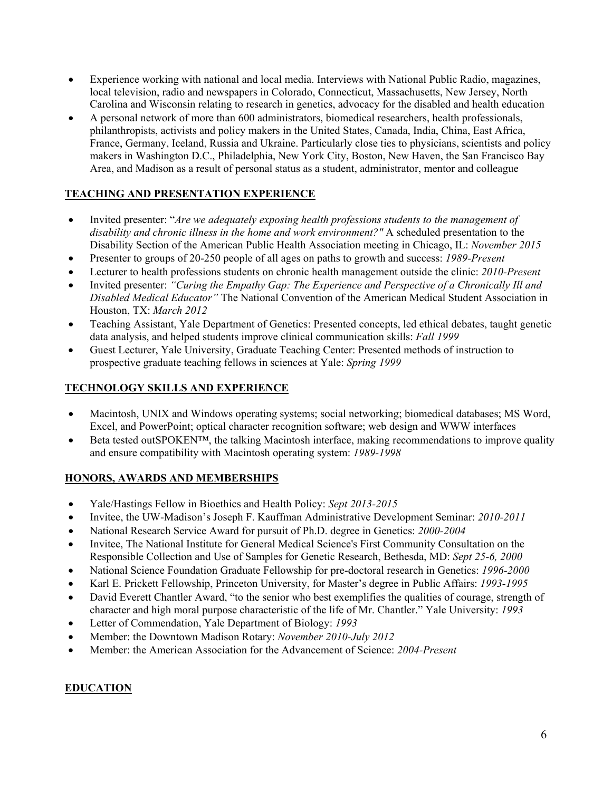- Experience working with national and local media. Interviews with National Public Radio, magazines, local television, radio and newspapers in Colorado, Connecticut, Massachusetts, New Jersey, North Carolina and Wisconsin relating to research in genetics, advocacy for the disabled and health education
- A personal network of more than 600 administrators, biomedical researchers, health professionals, philanthropists, activists and policy makers in the United States, Canada, India, China, East Africa, France, Germany, Iceland, Russia and Ukraine. Particularly close ties to physicians, scientists and policy makers in Washington D.C., Philadelphia, New York City, Boston, New Haven, the San Francisco Bay Area, and Madison as a result of personal status as a student, administrator, mentor and colleague

# **TEACHING AND PRESENTATION EXPERIENCE**

- Invited presenter: "*Are we adequately exposing health professions students to the management of disability and chronic illness in the home and work environment?"* A scheduled presentation to the Disability Section of the American Public Health Association meeting in Chicago, IL: *November 2015*
- Presenter to groups of 20-250 people of all ages on paths to growth and success: *1989-Present*
- Lecturer to health professions students on chronic health management outside the clinic: *2010-Present*
- Invited presenter: *"Curing the Empathy Gap: The Experience and Perspective of a Chronically Ill and Disabled Medical Educator"* The National Convention of the American Medical Student Association in Houston, TX: *March 2012*
- Teaching Assistant, Yale Department of Genetics: Presented concepts, led ethical debates, taught genetic data analysis, and helped students improve clinical communication skills: *Fall 1999*
- Guest Lecturer, Yale University, Graduate Teaching Center: Presented methods of instruction to prospective graduate teaching fellows in sciences at Yale: *Spring 1999*

### **TECHNOLOGY SKILLS AND EXPERIENCE**

- Macintosh, UNIX and Windows operating systems; social networking; biomedical databases; MS Word, Excel, and PowerPoint; optical character recognition software; web design and WWW interfaces
- Beta tested outSPOKEN™, the talking Macintosh interface, making recommendations to improve quality and ensure compatibility with Macintosh operating system: *1989-1998*

# **HONORS, AWARDS AND MEMBERSHIPS**

- Yale/Hastings Fellow in Bioethics and Health Policy: *Sept 2013-2015*
- Invitee, the UW-Madison's Joseph F. Kauffman Administrative Development Seminar: *2010-2011*
- National Research Service Award for pursuit of Ph.D. degree in Genetics: *2000-2004*
- Invitee, The National Institute for General Medical Science's First Community Consultation on the Responsible Collection and Use of Samples for Genetic Research, Bethesda, MD: *Sept 25-6, 2000*
- National Science Foundation Graduate Fellowship for pre-doctoral research in Genetics: *1996-2000*
- Karl E. Prickett Fellowship, Princeton University, for Master's degree in Public Affairs: *1993-1995*
- David Everett Chantler Award, "to the senior who best exemplifies the qualities of courage, strength of character and high moral purpose characteristic of the life of Mr. Chantler." Yale University: *1993*
- Letter of Commendation, Yale Department of Biology: *1993*
- Member: the Downtown Madison Rotary: *November 2010-July 2012*
- Member: the American Association for the Advancement of Science: *2004-Present*

#### **EDUCATION**